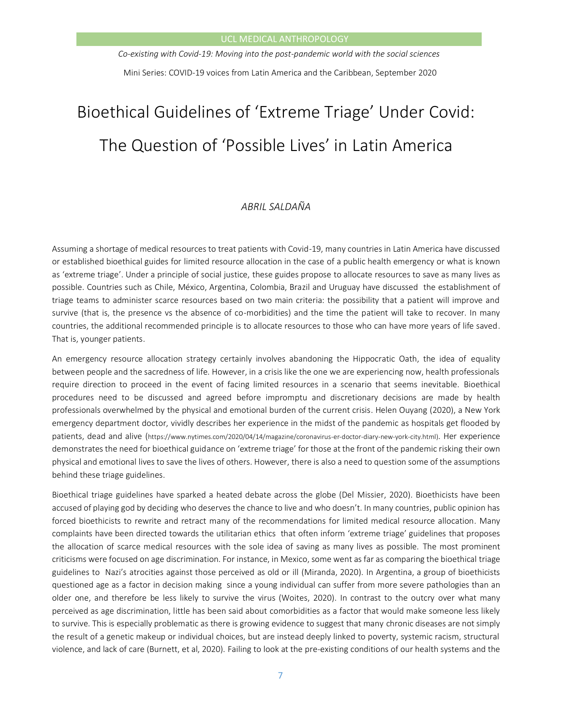*Co-existing with Covid-19: Moving into the post-pandemic world with the social sciences* Mini Series: COVID-19 voices from Latin America and the Caribbean, September 2020

# Bioethical Guidelines of 'Extreme Triage' Under Covid: The Question of 'Possible Lives' in Latin America

# *ABRIL SALDAÑA*

Assuming a shortage of medical resources to treat patients with Covid-19, many countries in Latin America have discussed or established bioethical guides for limited resource allocation in the case of a public health emergency or what is known as 'extreme triage'. Under a principle of social justice, these guides propose to allocate resources to save as many lives as possible. Countries such as Chile, México, Argentina, Colombia, Brazil and Uruguay have discussed the establishment of triage teams to administer scarce resources based on two main criteria: the possibility that a patient will improve and survive (that is, the presence vs the absence of co-morbidities) and the time the patient will take to recover. In many countries, the additional recommended principle is to allocate resources to those who can have more years of life saved. That is, younger patients.

An emergency resource allocation strategy certainly involves abandoning the Hippocratic Oath, the idea of equality between people and the sacredness of life. However, in a crisis like the one we are experiencing now, health professionals require direction to proceed in the event of facing limited resources in a scenario that seems inevitable. Bioethical procedures need to be discussed and agreed before impromptu and discretionary decisions are made by health professionals overwhelmed by the physical and emotional burden of the current crisis. Helen Ouyang (2020), a New York emergency department doctor, vividly describes her experience in the midst of the pandemic as hospitals get flooded by patients, dead and alive ([https://www.nytimes.com/2020/04/14/magazine/coronavirus-er-doctor-diary-new-york-city.html\)](https://www.nytimes.com/2020/04/14/magazine/coronavirus-er-doctor-diary-new-york-city.html). Her experience demonstrates the need for bioethical guidance on 'extreme triage' for those at the front of the pandemic risking their own physical and emotional lives to save the lives of others. However, there is also a need to question some of the assumptions behind these triage guidelines.

Bioethical triage guidelines have sparked a heated debate across the globe (Del Missier, 2020). Bioethicists have been accused of playing god by deciding who deserves the chance to live and who doesn't. In many countries, public opinion has forced bioethicists to rewrite and retract many of the recommendations for limited medical resource allocation. Many complaints have been directed towards the utilitarian ethics that often inform 'extreme triage' guidelines that proposes the allocation of scarce medical resources with the sole idea of saving as many lives as possible. The most prominent criticisms were focused on age discrimination. For instance, in Mexico, some went as far as comparing the bioethical triage guidelines to Nazi's atrocities against those perceived as old or ill (Miranda, 2020). In Argentina, a group of bioethicists questioned age as a factor in decision making since a young individual can suffer from more severe pathologies than an older one, and therefore be less likely to survive the virus (Woites, 2020). In contrast to the outcry over what many perceived as age discrimination, little has been said about comorbidities as a factor that would make someone less likely to survive. This is especially problematic as there is growing evidence to suggest that many chronic diseases are not simply the result of a genetic makeup or individual choices, but are instead deeply linked to poverty, systemic racism, structural violence, and lack of care (Burnett, et al, 2020). Failing to look at the pre-existing conditions of our health systems and the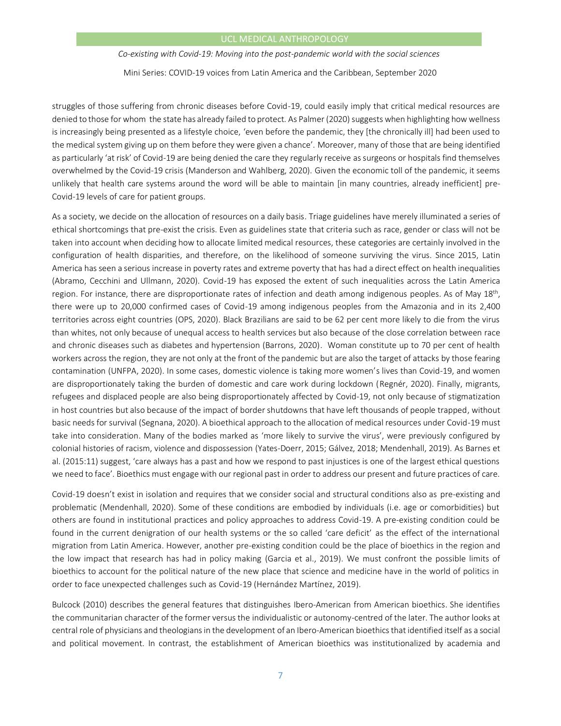## UCL MEDICAL ANTHROPOLOGY

*Co-existing with Covid-19: Moving into the post-pandemic world with the social sciences*

Mini Series: COVID-19 voices from Latin America and the Caribbean, September 2020

struggles of those suffering from chronic diseases before Covid-19, could easily imply that critical medical resources are denied to those for whom the state has already failed to protect. As Palmer (2020) suggests when highlighting how wellness is increasingly being presented as a lifestyle choice, 'even before the pandemic, they [the chronically ill] had been used to the medical system giving up on them before they were given a chance'. Moreover, many of those that are being identified as particularly 'at risk' of Covid-19 are being denied the care they regularly receive as surgeons or hospitals find themselves overwhelmed by the Covid-19 crisis (Manderson and Wahlberg, 2020). Given the economic toll of the pandemic, it seems unlikely that health care systems around the word will be able to maintain [in many countries, already inefficient] pre-Covid-19 levels of care for patient groups.

As a society, we decide on the allocation of resources on a daily basis. Triage guidelines have merely illuminated a series of ethical shortcomings that pre-exist the crisis. Even as guidelines state that criteria such as race, gender or class will not be taken into account when deciding how to allocate limited medical resources, these categories are certainly involved in the configuration of health disparities, and therefore, on the likelihood of someone surviving the virus. Since 2015, Latin America has seen a serious increase in poverty rates and extreme poverty that has had a direct effect on health inequalities (Abramo, Cecchini and Ullmann, 2020). Covid-19 has exposed the extent of such inequalities across the Latin America region. For instance, there are disproportionate rates of infection and death among indigenous peoples. As of May 18<sup>th</sup>, there were up to 20,000 confirmed cases of Covid-19 among indigenous peoples from the Amazonia and in its 2,400 territories across eight countries (OPS, 2020). Black Brazilians are said to be 62 per cent more likely to die from the virus than whites, not only because of unequal access to health services but also because of the close correlation between race and chronic diseases such as diabetes and hypertension (Barrons, 2020). Woman constitute up to 70 per cent of health workers across the region, they are not only at the front of the pandemic but are also the target of attacks by those fearing contamination (UNFPA, 2020). In some cases, domestic violence is taking more women's lives than Covid-19, and women are disproportionately taking the burden of domestic and care work during lockdown (Regnér, 2020). Finally, migrants, refugees and displaced people are also being disproportionately affected by Covid-19, not only because of stigmatization in host countries but also because of the impact of border shutdowns that have left thousands of people trapped, without basic needs for survival (Segnana, 2020). A bioethical approach to the allocation of medical resources under Covid-19 must take into consideration. Many of the bodies marked as 'more likely to survive the virus', were previously configured by colonial histories of racism, violence and dispossession (Yates-Doerr, 2015; Gálvez, 2018; Mendenhall, 2019). As Barnes et al. (2015:11) suggest, 'care always has a past and how we respond to past injustices is one of the largest ethical questions we need to face'. Bioethics must engage with our regional past in order to address our present and future practices of care.

Covid-19 doesn't exist in isolation and requires that we consider social and structural conditions also as pre-existing and problematic (Mendenhall, 2020). Some of these conditions are embodied by individuals (i.e. age or comorbidities) but others are found in institutional practices and policy approaches to address Covid-19. A pre-existing condition could be found in the current denigration of our health systems or the so called 'care deficit' as the effect of the international migration from Latin America. However, another pre-existing condition could be the place of bioethics in the region and the low impact that research has had in policy making (Garcia et al., 2019). We must confront the possible limits of bioethics to account for the political nature of the new place that science and medicine have in the world of politics in order to face unexpected challenges such as Covid-19 (Hernández Martínez, 2019).

Bulcock (2010) describes the general features that distinguishes Ibero-American from American bioethics. She identifies the communitarian character of the former versus the individualistic or autonomy-centred of the later. The author looks at central role of physicians and theologians in the development of an Ibero-American bioethics that identified itself as a social and political movement. In contrast, the establishment of American bioethics was institutionalized by academia and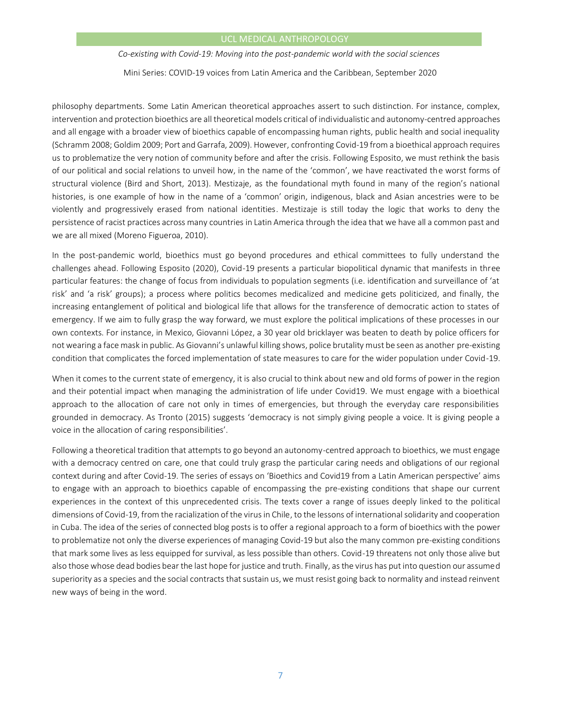# UCL MEDICAL ANTHROPOLOGY

*Co-existing with Covid-19: Moving into the post-pandemic world with the social sciences*

Mini Series: COVID-19 voices from Latin America and the Caribbean, September 2020

philosophy departments. Some Latin American theoretical approaches assert to such distinction. For instance, complex, intervention and protection bioethics are all theoretical models critical of individualistic and autonomy-centred approaches and all engage with a broader view of bioethics capable of encompassing human rights, public health and social inequality (Schramm 2008; Goldim 2009; Port and Garrafa, 2009). However, confronting Covid-19 from a bioethical approach requires us to problematize the very notion of community before and after the crisis. Following Esposito, we must rethink the basis of our political and social relations to unveil how, in the name of the 'common', we have reactivated the worst forms of structural violence (Bird and Short, 2013). Mestizaje, as the foundational myth found in many of the region's national histories, is one example of how in the name of a 'common' origin, indigenous, black and Asian ancestries were to be violently and progressively erased from national identities. Mestizaje is still today the logic that works to deny the persistence of racist practices across many countries in Latin America through the idea that we have all a common past and we are all mixed (Moreno Figueroa, 2010).

In the post-pandemic world, bioethics must go beyond procedures and ethical committees to fully understand the challenges ahead. Following Esposito (2020), Covid-19 presents a particular biopolitical dynamic that manifests in three particular features: the change of focus from individuals to population segments (i.e. identification and surveillance of 'at risk' and 'a risk' groups); a process where politics becomes medicalized and medicine gets politicized, and finally, the increasing entanglement of political and biological life that allows for the transference of democratic action to states of emergency. If we aim to fully grasp the way forward, we must explore the political implications of these processes in our own contexts. For instance, in Mexico, Giovanni López, a 30 year old bricklayer was beaten to death by police officers for not wearing a face mask in public. As Giovanni's unlawful killing shows, police brutality must be seen as another pre-existing condition that complicates the forced implementation of state measures to care for the wider population under Covid-19.

When it comes to the current state of emergency, it is also crucial to think about new and old forms of power in the region and their potential impact when managing the administration of life under Covid19. We must engage with a bioethical approach to the allocation of care not only in times of emergencies, but through the everyday care responsibilities grounded in democracy. As Tronto (2015) suggests 'democracy is not simply giving people a voice. It is giving people a voice in the allocation of caring responsibilities'.

Following a theoretical tradition that attempts to go beyond an autonomy-centred approach to bioethics, we must engage with a democracy centred on care, one that could truly grasp the particular caring needs and obligations of our regional context during and after Covid-19. The series of essays on 'Bioethics and Covid19 from a Latin American perspective' aims to engage with an approach to bioethics capable of encompassing the pre-existing conditions that shape our current experiences in the context of this unprecedented crisis. The texts cover a range of issues deeply linked to the political dimensions of Covid-19, from the racialization of the virus in Chile, to the lessons of international solidarity and cooperation in Cuba. The idea of the series of connected blog posts is to offer a regional approach to a form of bioethics with the power to problematize not only the diverse experiences of managing Covid-19 but also the many common pre-existing conditions that mark some lives as less equipped for survival, as less possible than others. Covid-19 threatens not only those alive but also those whose dead bodies bear the last hope for justice and truth. Finally, as the virus has put into question our assumed superiority as a species and the social contracts that sustain us, we must resist going back to normality and instead reinvent new ways of being in the word.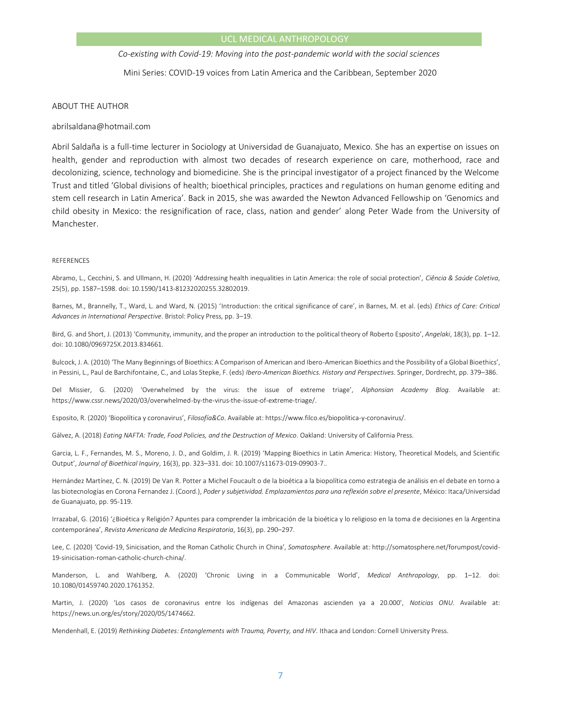*Co-existing with Covid-19: Moving into the post-pandemic world with the social sciences*

Mini Series: COVID-19 voices from Latin America and the Caribbean, September 2020

#### ABOUT THE AUTHOR

abrilsaldana@hotmail.com

Abril Saldaña is a full-time lecturer in Sociology at Universidad de Guanajuato, Mexico. She has an expertise on issues on health, gender and reproduction with almost two decades of research experience on care, motherhood, race and decolonizing, science, technology and biomedicine. She is the principal investigator of a project financed by the Welcome Trust and titled 'Global divisions of health; bioethical principles, practices and regulations on human genome editing and stem cell research in Latin America'. Back in 2015, she was awarded the Newton Advanced Fellowship on 'Genomics and child obesity in Mexico: the resignification of race, class, nation and gender' along Peter Wade from the University of Manchester.

#### REFERENCES

Abramo, L., Cecchini, S. and Ullmann, H. (2020) 'Addressing health inequalities in Latin America: the role of social protection', *Ciência & Saúde Coletiva*, 25(5), pp. 1587–1598. doi: 10.1590/1413-81232020255.32802019.

Barnes, M., Brannelly, T., Ward, L. and Ward, N. (2015) 'Introduction: the critical significance of care', in Barnes, M. et al. (eds) *Ethics of Care: Critical Advances in International Perspective*. Bristol: Policy Press, pp. 3–19.

Bird, G. and Short, J. (2013) 'Community, immunity, and the proper an introduction to the political theory of Roberto Esposito', *Angelaki*, 18(3), pp. 1–12. doi: 10.1080/0969725X.2013.834661.

Bulcock, J. A. (2010) 'The Many Beginnings of Bioethics: A Comparison of American and Ibero-American Bioethics and the Possibility of a Global Bioethics', in Pessini, L., Paul de Barchifontaine, C., and Lolas Stepke, F. (eds) *Ibero-American Bioethics. History and Perspectives*. Springer, Dordrecht, pp. 379–386.

Del Missier, G. (2020) 'Overwhelmed by the virus: the issue of extreme triage', *Alphonsian Academy Blog*. Available at: https://www.cssr.news/2020/03/overwhelmed-by-the-virus-the-issue-of-extreme-triage/.

Esposito, R. (2020) 'Biopolítica y coronavirus', *Filosofía&Co*. Available at: https://www.filco.es/biopolitica-y-coronavirus/.

Gálvez, A. (2018) *Eating NAFTA: Trade, Food Policies, and the Destruction of Mexico*. Oakland: University of California Press.

Garcia, L. F., Fernandes, M. S., Moreno, J. D., and Goldim, J. R. (2019) 'Mapping Bioethics in Latin America: History, Theoretical Models, and Scientific Output', *Journal of Bioethical Inquiry*, 16(3), pp. 323–331. doi: 10.1007/s11673-019-09903-7..

Hernández Martínez, C. N. (2019) De Van R. Potter a Michel Foucault o de la bioética a la biopolítica como estrategia de análisis en el debate en torno a las biotecnologías en Corona Fernandez J. (Coord.), *Poder y subjetividad. Emplazamientos para una reflexión sobre el presente*, México: Itaca/Universidad de Guanajuato, pp. 95-119.

Irrazabal, G. (2016) '¿Bioética y Religión? Apuntes para comprender la imbricación de la bioética y lo religioso en la toma de decisiones en la Argentina contemporánea', *Revista Americana de Medicina Respiratoria*, 16(3), pp. 290–297.

Lee, C. (2020) 'Covid-19, Sinicisation, and the Roman Catholic Church in China', *Somatosphere*. Available at: http://somatosphere.net/forumpost/covid-19-sinicisation-roman-catholic-church-china/.

Manderson, L. and Wahlberg, A. (2020) 'Chronic Living in a Communicable World', *Medical Anthropology*, pp. 1–12. doi: 10.1080/01459740.2020.1761352.

Martin, J. (2020) 'Los casos de coronavirus entre los indígenas del Amazonas ascienden ya a 20.000', *Noticias ONU*. Available at: https://news.un.org/es/story/2020/05/1474662.

Mendenhall, E. (2019) *Rethinking Diabetes: Entanglements with Trauma, Poverty, and HIV*. Ithaca and London: Cornell University Press.